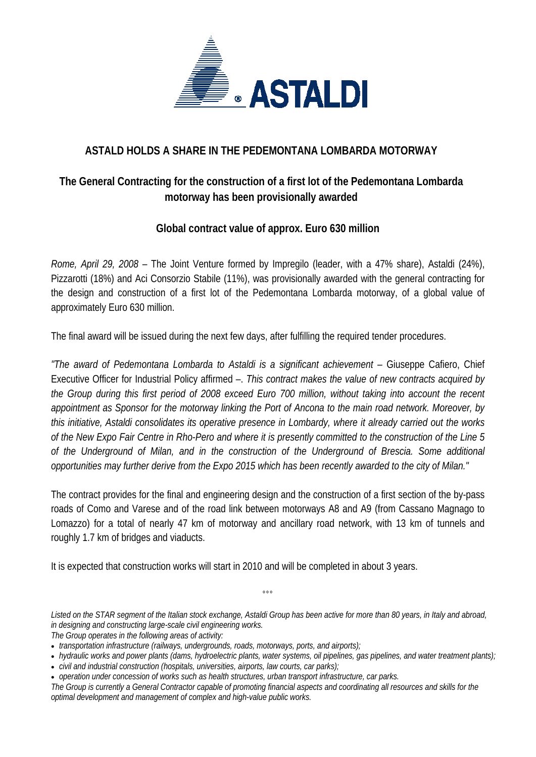

### **ASTALD HOLDS A SHARE IN THE PEDEMONTANA LOMBARDA MOTORWAY**

## **The General Contracting for the construction of a first lot of the Pedemontana Lombarda motorway has been provisionally awarded**

### **Global contract value of approx. Euro 630 million**

*Rome, April 29, 2008* – The Joint Venture formed by Impregilo (leader, with a 47% share), Astaldi (24%), Pizzarotti (18%) and Aci Consorzio Stabile (11%), was provisionally awarded with the general contracting for the design and construction of a first lot of the Pedemontana Lombarda motorway, of a global value of approximately Euro 630 million.

The final award will be issued during the next few days, after fulfilling the required tender procedures.

*"The award of Pedemontana Lombarda to Astaldi is a significant achievement –* Giuseppe Cafiero, Chief Executive Officer for Industrial Policy affirmed –. *This contract makes the value of new contracts acquired by the Group during this first period of 2008 exceed Euro 700 million, without taking into account the recent appointment as Sponsor for the motorway linking the Port of Ancona to the main road network. Moreover, by this initiative, Astaldi consolidates its operative presence in Lombardy, where it already carried out the works of the New Expo Fair Centre in Rho-Pero and where it is presently committed to the construction of the Line 5 of the Underground of Milan, and in the construction of the Underground of Brescia. Some additional opportunities may further derive from the Expo 2015 which has been recently awarded to the city of Milan."* 

The contract provides for the final and engineering design and the construction of a first section of the by-pass roads of Como and Varese and of the road link between motorways A8 and A9 (from Cassano Magnago to Lomazzo) for a total of nearly 47 km of motorway and ancillary road network, with 13 km of tunnels and roughly 1.7 km of bridges and viaducts.

It is expected that construction works will start in 2010 and will be completed in about 3 years.

*Listed on the STAR segment of the Italian stock exchange, Astaldi Group has been active for more than 80 years, in Italy and abroad, in designing and constructing large-scale civil engineering works.* 

 $000$ 

*The Group operates in the following areas of activity:* 

• *civil and industrial construction (hospitals, universities, airports, law courts, car parks);* 

• *operation under concession of works such as health structures, urban transport infrastructure, car parks. The Group is currently a General Contractor capable of promoting financial aspects and coordinating all resources and skills for the optimal development and management of complex and high-value public works.* 

<sup>•</sup> *transportation infrastructure (railways, undergrounds, roads, motorways, ports, and airports);* 

<sup>•</sup> *hydraulic works and power plants (dams, hydroelectric plants, water systems, oil pipelines, gas pipelines, and water treatment plants);*